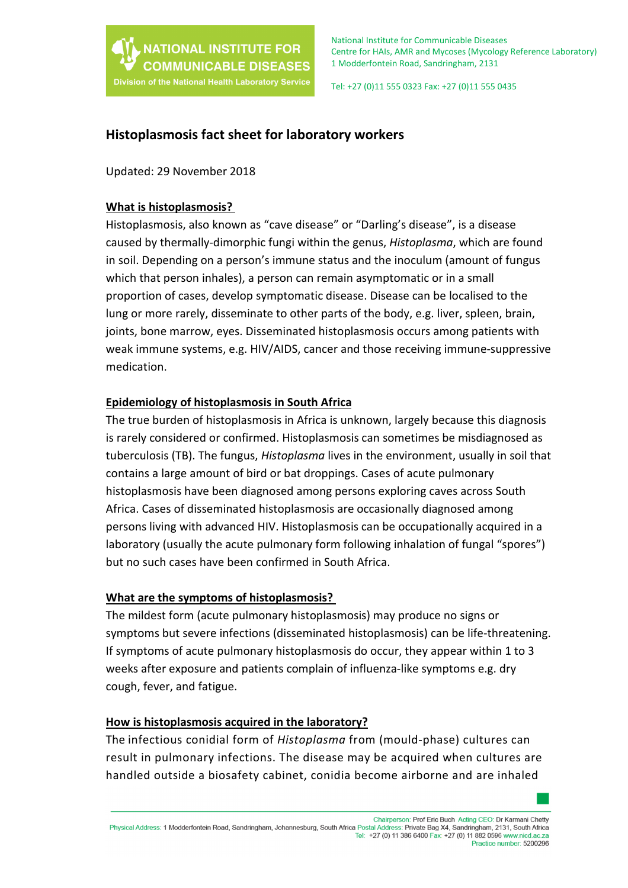

Tel: +27 (0)11 555 0323 Fax: +27 (0)11 555 0435

# **Histoplasmosis fact sheet for laboratory workers**

Updated: 29 November 2018

### **What is histoplasmosis?**

Histoplasmosis, also known as "cave disease" or "Darling's disease", is a disease caused by thermally-dimorphic fungi within the genus, *Histoplasma*, which are found in soil. Depending on a person's immune status and the inoculum (amount of fungus which that person inhales), a person can remain asymptomatic or in a small proportion of cases, develop symptomatic disease. Disease can be localised to the lung or more rarely, disseminate to other parts of the body, e.g. liver, spleen, brain, joints, bone marrow, eyes. Disseminated histoplasmosis occurs among patients with weak immune systems, e.g. HIV/AIDS, cancer and those receiving immune-suppressive medication.

### **Epidemiology of histoplasmosis in South Africa**

The true burden of histoplasmosis in Africa is unknown, largely because this diagnosis is rarely considered or confirmed. Histoplasmosis can sometimes be misdiagnosed as tuberculosis (TB). The fungus, *Histoplasma* lives in the environment, usually in soil that contains a large amount of bird or bat droppings. Cases of acute pulmonary histoplasmosis have been diagnosed among persons exploring caves across South Africa. Cases of disseminated histoplasmosis are occasionally diagnosed among persons living with advanced HIV. Histoplasmosis can be occupationally acquired in a laboratory (usually the acute pulmonary form following inhalation of fungal "spores") but no such cases have been confirmed in South Africa.

### **What are the symptoms of histoplasmosis?**

The mildest form (acute pulmonary histoplasmosis) may produce no signs or symptoms but severe infections (disseminated histoplasmosis) can be life-threatening. If symptoms of acute pulmonary histoplasmosis do occur, they appear within 1 to 3 weeks after exposure and patients complain of influenza-like symptoms e.g. dry cough, fever, and fatigue.

### **How is histoplasmosis acquired in the laboratory?**

The infectious conidial form of *Histoplasma* from (mould-phase) cultures can result in pulmonary infections. The disease may be acquired when cultures are handled outside a biosafety cabinet, conidia become airborne and are inhaled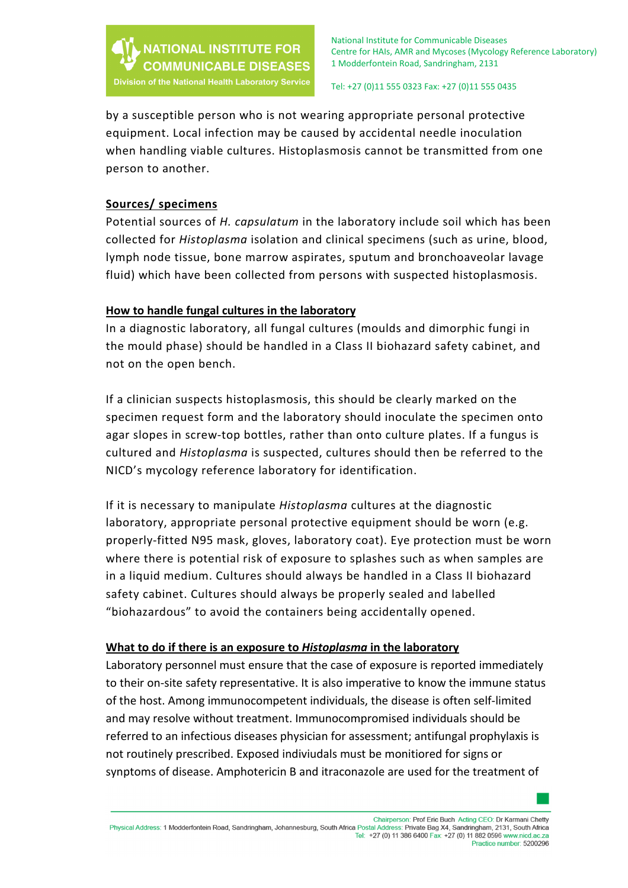

#### Tel: +27 (0)11 555 0323 Fax: +27 (0)11 555 0435

by a susceptible person who is not wearing appropriate personal protective equipment. Local infection may be caused by accidental needle inoculation when handling viable cultures. Histoplasmosis cannot be transmitted from one person to another.

## **Sources/ specimens**

Potential sources of *H. capsulatum* in the laboratory include soil which has been collected for *Histoplasma* isolation and clinical specimens (such as urine, blood, lymph node tissue, bone marrow aspirates, sputum and bronchoaveolar lavage fluid) which have been collected from persons with suspected histoplasmosis.

## **How to handle fungal cultures in the laboratory**

In a diagnostic laboratory, all fungal cultures (moulds and dimorphic fungi in the mould phase) should be handled in a Class II biohazard safety cabinet, and not on the open bench.

If a clinician suspects histoplasmosis, this should be clearly marked on the specimen request form and the laboratory should inoculate the specimen onto agar slopes in screw-top bottles, rather than onto culture plates. If a fungus is cultured and *Histoplasma* is suspected, cultures should then be referred to the NICD's mycology reference laboratory for identification.

If it is necessary to manipulate *Histoplasma* cultures at the diagnostic laboratory, appropriate personal protective equipment should be worn (e.g. properly-fitted N95 mask, gloves, laboratory coat). Eye protection must be worn where there is potential risk of exposure to splashes such as when samples are in a liquid medium. Cultures should always be handled in a Class II biohazard safety cabinet. Cultures should always be properly sealed and labelled "biohazardous" to avoid the containers being accidentally opened.

### **What to do if there is an exposure to** *Histoplasma* **in the laboratory**

Laboratory personnel must ensure that the case of exposure is reported immediately to their on-site safety representative. It is also imperative to know the immune status of the host. Among immunocompetent individuals, the disease is often self-limited and may resolve without treatment. Immunocompromised individuals should be referred to an infectious diseases physician for assessment; antifungal prophylaxis is not routinely prescribed. Exposed indiviudals must be monitiored for signs or synptoms of disease. Amphotericin B and itraconazole are used for the treatment of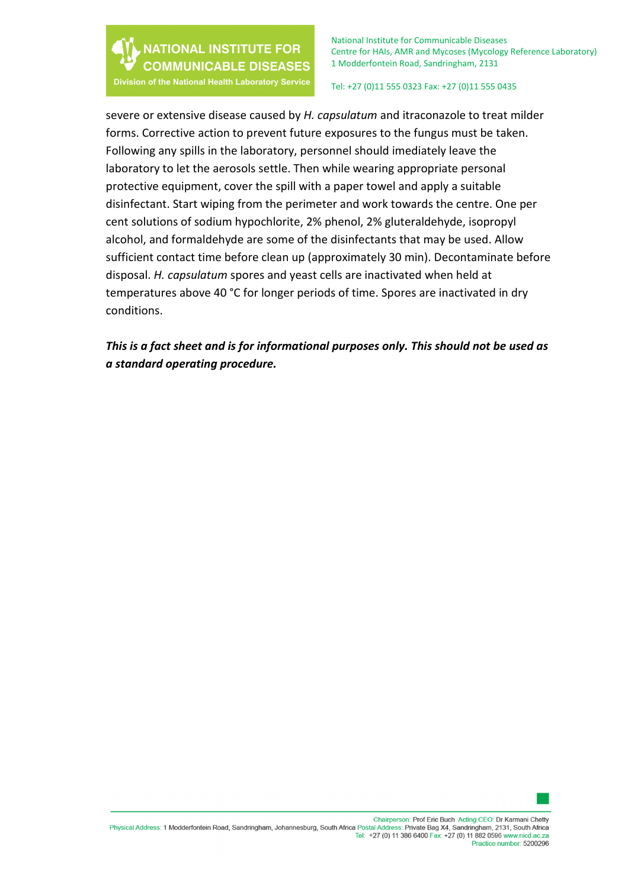

National Institute for Communicable Diseases Centre for HAIs, AMR and Mycoses (Mycology Reference Laboratory) 1 Modderfontein Road, Sandringham, 2131

Division of the National Health Laboratory Service

Tel: +27 (0)11 555 0323 Fax: +27 (0)11 555 0435

severe or extensive disease caused by *H. capsulatum* and itraconazole to treat milder forms. Corrective action to prevent future exposures to the fungus must be taken. Following any spills in the laboratory, personnel should imediately leave the laboratory to let the aerosols settle. Then while wearing appropriate personal protective equipment, cover the spill with a paper towel and apply a suitable disinfectant. Start wiping from the perimeter and work towards the centre. One per cent solutions of sodium hypochlorite, 2% phenol, 2% gluteraldehyde, isopropyl alcohol, and formaldehyde are some of the disinfectants that may be used. Allow sufficient contact time before clean up (approximately 30 min). Decontaminate before disposal. *H. capsulatum* spores and yeast cells are inactivated when held at temperatures above 40 °C for longer periods of time. Spores are inactivated in dry conditions.

*This is a fact sheet and is for informational purposes only. This should not be used as a standard operating procedure.*